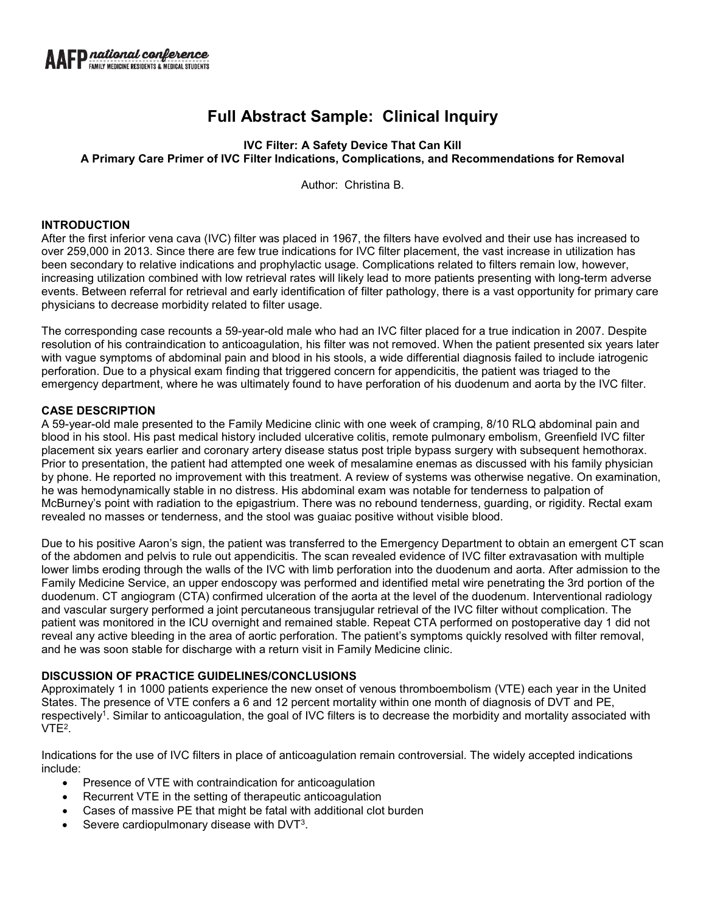# **Full Abstract Sample: Clinical Inquiry**

## **IVC Filter: A Safety Device That Can Kill A Primary Care Primer of IVC Filter Indications, Complications, and Recommendations for Removal**

Author: Christina B.

#### **INTRODUCTION**

After the first inferior vena cava (IVC) filter was placed in 1967, the filters have evolved and their use has increased to over 259,000 in 2013. Since there are few true indications for IVC filter placement, the vast increase in utilization has been secondary to relative indications and prophylactic usage. Complications related to filters remain low, however, increasing utilization combined with low retrieval rates will likely lead to more patients presenting with long-term adverse events. Between referral for retrieval and early identification of filter pathology, there is a vast opportunity for primary care physicians to decrease morbidity related to filter usage.

The corresponding case recounts a 59-year-old male who had an IVC filter placed for a true indication in 2007. Despite resolution of his contraindication to anticoagulation, his filter was not removed. When the patient presented six years later with vague symptoms of abdominal pain and blood in his stools, a wide differential diagnosis failed to include iatrogenic perforation. Due to a physical exam finding that triggered concern for appendicitis, the patient was triaged to the emergency department, where he was ultimately found to have perforation of his duodenum and aorta by the IVC filter.

#### **CASE DESCRIPTION**

A 59-year-old male presented to the Family Medicine clinic with one week of cramping, 8/10 RLQ abdominal pain and blood in his stool. His past medical history included ulcerative colitis, remote pulmonary embolism, Greenfield IVC filter placement six years earlier and coronary artery disease status post triple bypass surgery with subsequent hemothorax. Prior to presentation, the patient had attempted one week of mesalamine enemas as discussed with his family physician by phone. He reported no improvement with this treatment. A review of systems was otherwise negative. On examination, he was hemodynamically stable in no distress. His abdominal exam was notable for tenderness to palpation of McBurney's point with radiation to the epigastrium. There was no rebound tenderness, guarding, or rigidity. Rectal exam revealed no masses or tenderness, and the stool was guaiac positive without visible blood.

Due to his positive Aaron's sign, the patient was transferred to the Emergency Department to obtain an emergent CT scan of the abdomen and pelvis to rule out appendicitis. The scan revealed evidence of IVC filter extravasation with multiple lower limbs eroding through the walls of the IVC with limb perforation into the duodenum and aorta. After admission to the Family Medicine Service, an upper endoscopy was performed and identified metal wire penetrating the 3rd portion of the duodenum. CT angiogram (CTA) confirmed ulceration of the aorta at the level of the duodenum. Interventional radiology and vascular surgery performed a joint percutaneous transjugular retrieval of the IVC filter without complication. The patient was monitored in the ICU overnight and remained stable. Repeat CTA performed on postoperative day 1 did not reveal any active bleeding in the area of aortic perforation. The patient's symptoms quickly resolved with filter removal, and he was soon stable for discharge with a return visit in Family Medicine clinic.

## **DISCUSSION OF PRACTICE GUIDELINES/CONCLUSIONS**

Approximately 1 in 1000 patients experience the new onset of venous thromboembolism (VTE) each year in the United States. The presence of VTE confers a 6 and 12 percent mortality within one month of diagnosis of DVT and PE, respectively<sup>1</sup>. Similar to anticoagulation, the goal of IVC filters is to decrease the morbidity and mortality associated with VTE2.

Indications for the use of IVC filters in place of anticoagulation remain controversial. The widely accepted indications include:

- Presence of VTE with contraindication for anticoagulation
- Recurrent VTE in the setting of therapeutic anticoagulation
- Cases of massive PE that might be fatal with additional clot burden
- Severe cardiopulmonary disease with DVT<sup>3</sup>.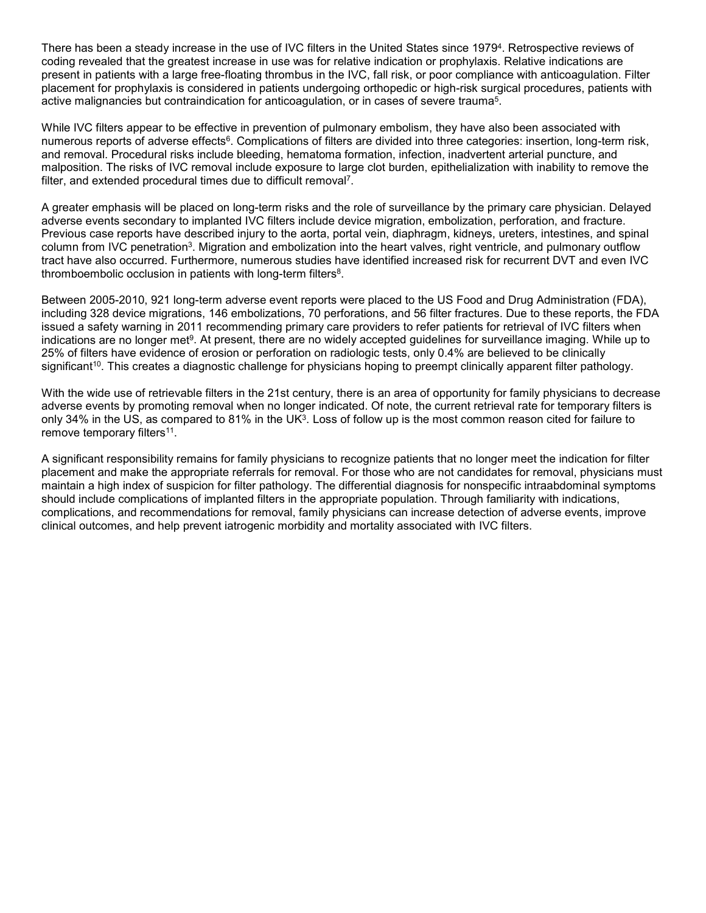There has been a steady increase in the use of IVC filters in the United States since 19794. Retrospective reviews of coding revealed that the greatest increase in use was for relative indication or prophylaxis. Relative indications are present in patients with a large free-floating thrombus in the IVC, fall risk, or poor compliance with anticoagulation. Filter placement for prophylaxis is considered in patients undergoing orthopedic or high-risk surgical procedures, patients with active malignancies but contraindication for anticoagulation, or in cases of severe trauma5.

While IVC filters appear to be effective in prevention of pulmonary embolism, they have also been associated with numerous reports of adverse effects<sup>6</sup>. Complications of filters are divided into three categories: insertion, long-term risk, and removal. Procedural risks include bleeding, hematoma formation, infection, inadvertent arterial puncture, and malposition. The risks of IVC removal include exposure to large clot burden, epithelialization with inability to remove the filter, and extended procedural times due to difficult removal7.

A greater emphasis will be placed on long-term risks and the role of surveillance by the primary care physician. Delayed adverse events secondary to implanted IVC filters include device migration, embolization, perforation, and fracture. Previous case reports have described injury to the aorta, portal vein, diaphragm, kidneys, ureters, intestines, and spinal column from IVC penetration<sup>3</sup>. Migration and embolization into the heart valves, right ventricle, and pulmonary outflow tract have also occurred. Furthermore, numerous studies have identified increased risk for recurrent DVT and even IVC thromboembolic occlusion in patients with long-term filters<sup>8</sup>.

Between 2005-2010, 921 long-term adverse event reports were placed to the US Food and Drug Administration (FDA), including 328 device migrations, 146 embolizations, 70 perforations, and 56 filter fractures. Due to these reports, the FDA issued a safety warning in 2011 recommending primary care providers to refer patients for retrieval of IVC filters when indications are no longer met9. At present, there are no widely accepted guidelines for surveillance imaging. While up to 25% of filters have evidence of erosion or perforation on radiologic tests, only 0.4% are believed to be clinically significant<sup>10</sup>. This creates a diagnostic challenge for physicians hoping to preempt clinically apparent filter pathology.

With the wide use of retrievable filters in the 21st century, there is an area of opportunity for family physicians to decrease adverse events by promoting removal when no longer indicated. Of note, the current retrieval rate for temporary filters is only 34% in the US, as compared to 81% in the UK3. Loss of follow up is the most common reason cited for failure to remove temporary filters<sup>11</sup>.

A significant responsibility remains for family physicians to recognize patients that no longer meet the indication for filter placement and make the appropriate referrals for removal. For those who are not candidates for removal, physicians must maintain a high index of suspicion for filter pathology. The differential diagnosis for nonspecific intraabdominal symptoms should include complications of implanted filters in the appropriate population. Through familiarity with indications, complications, and recommendations for removal, family physicians can increase detection of adverse events, improve clinical outcomes, and help prevent iatrogenic morbidity and mortality associated with IVC filters.